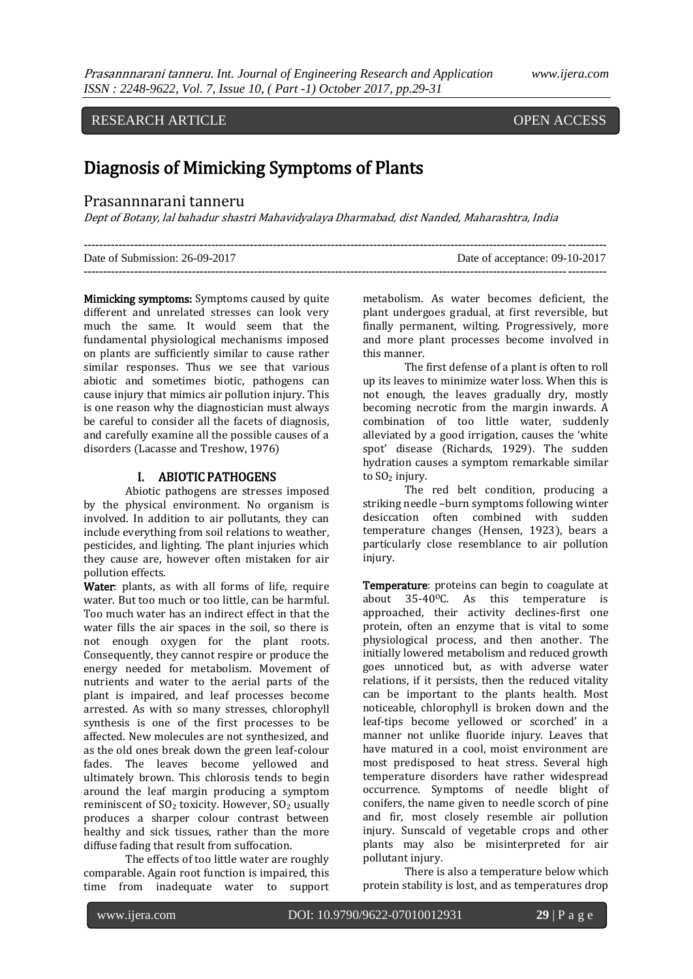## RESEARCH ARTICLE OPEN ACCESS

j

# Diagnosis of Mimicking Symptoms of Plants

### Prasannnarani tanneru

Dept of Botany, lal bahadur shastri Mahavidyalaya Dharmabad, dist Nanded, Maharashtra, India

| Date of Submission: 26-09-2017 | Date of acceptance: 09-10-2017 |
|--------------------------------|--------------------------------|
|                                |                                |

Mimicking symptoms: Symptoms caused by quite different and unrelated stresses can look very much the same. It would seem that the fundamental physiological mechanisms imposed on plants are sufficiently similar to cause rather similar responses. Thus we see that various abiotic and sometimes biotic, pathogens can cause injury that mimics air pollution injury. This is one reason why the diagnostician must always be careful to consider all the facets of diagnosis, and carefully examine all the possible causes of a disorders (Lacasse and Treshow, 1976)

#### I. ABIOTIC PATHOGENS

Abiotic pathogens are stresses imposed by the physical environment. No organism is involved. In addition to air pollutants, they can include everything from soil relations to weather, pesticides, and lighting. The plant injuries which they cause are, however often mistaken for air pollution effects.

Water: plants, as with all forms of life, require water. But too much or too little, can be harmful. Too much water has an indirect effect in that the water fills the air spaces in the soil, so there is not enough oxygen for the plant roots. Consequently, they cannot respire or produce the energy needed for metabolism. Movement of nutrients and water to the aerial parts of the plant is impaired, and leaf processes become arrested. As with so many stresses, chlorophyll synthesis is one of the first processes to be affected. New molecules are not synthesized, and as the old ones break down the green leaf-colour fades. The leaves become yellowed and ultimately brown. This chlorosis tends to begin around the leaf margin producing a symptom reminiscent of  $SO<sub>2</sub>$  toxicity. However,  $SO<sub>2</sub>$  usually produces a sharper colour contrast between healthy and sick tissues, rather than the more diffuse fading that result from suffocation.

The effects of too little water are roughly comparable. Again root function is impaired, this time from inadequate water to support metabolism. As water becomes deficient, the plant undergoes gradual, at first reversible, but finally permanent, wilting. Progressively, more and more plant processes become involved in this manner.

The first defense of a plant is often to roll up its leaves to minimize water loss. When this is not enough, the leaves gradually dry, mostly becoming necrotic from the margin inwards. A combination of too little water, suddenly alleviated by a good irrigation, causes the 'white spot' disease (Richards, 1929). The sudden hydration causes a symptom remarkable similar to SO<sub>2</sub> injury.

The red belt condition, producing a striking needle –burn symptoms following winter desiccation often combined with sudden temperature changes (Hensen, 1923), bears a particularly close resemblance to air pollution injury.

Temperature: proteins can begin to coagulate at about  $35-40$ <sup>o</sup>C. As this temperature is approached, their activity declines-first one protein, often an enzyme that is vital to some physiological process, and then another. The initially lowered metabolism and reduced growth goes unnoticed but, as with adverse water relations, if it persists, then the reduced vitality can be important to the plants health. Most noticeable, chlorophyll is broken down and the leaf-tips become yellowed or scorched' in a manner not unlike fluoride injury. Leaves that have matured in a cool, moist environment are most predisposed to heat stress. Several high temperature disorders have rather widespread occurrence. Symptoms of needle blight of conifers, the name given to needle scorch of pine and fir, most closely resemble air pollution injury. Sunscald of vegetable crops and other plants may also be misinterpreted for air pollutant injury.

There is also a temperature below which protein stability is lost, and as temperatures drop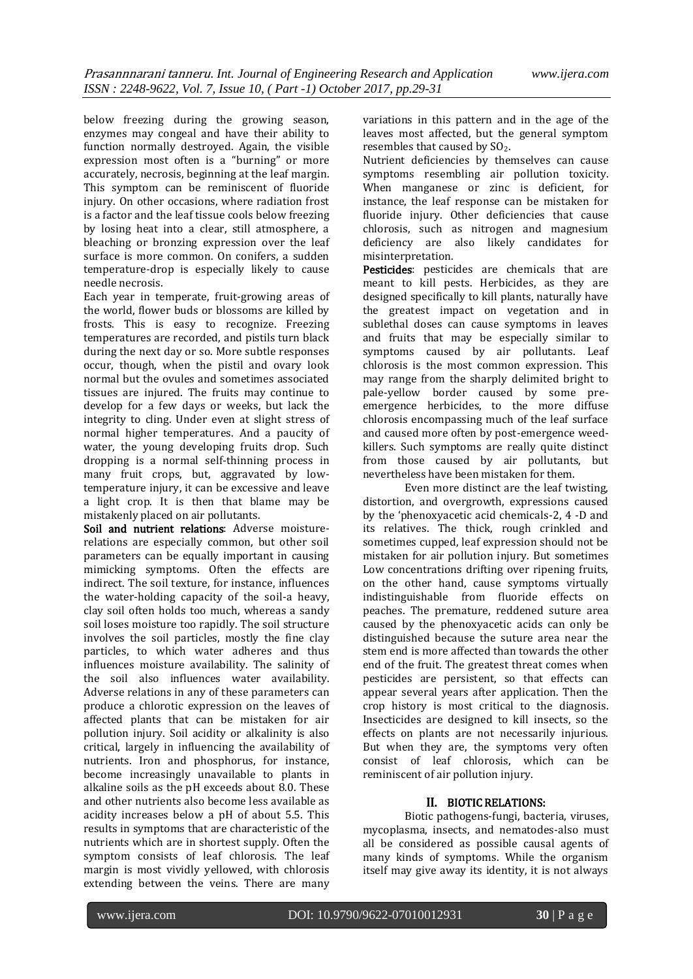below freezing during the growing season, enzymes may congeal and have their ability to function normally destroyed. Again, the visible expression most often is a "burning" or more accurately, necrosis, beginning at the leaf margin. This symptom can be reminiscent of fluoride injury. On other occasions, where radiation frost is a factor and the leaf tissue cools below freezing by losing heat into a clear, still atmosphere, a bleaching or bronzing expression over the leaf surface is more common. On conifers, a sudden temperature-drop is especially likely to cause needle necrosis.

Each year in temperate, fruit-growing areas of the world, flower buds or blossoms are killed by frosts. This is easy to recognize. Freezing temperatures are recorded, and pistils turn black during the next day or so. More subtle responses occur, though, when the pistil and ovary look normal but the ovules and sometimes associated tissues are injured. The fruits may continue to develop for a few days or weeks, but lack the integrity to cling. Under even at slight stress of normal higher temperatures. And a paucity of water, the young developing fruits drop. Such dropping is a normal self-thinning process in many fruit crops, but, aggravated by lowtemperature injury, it can be excessive and leave a light crop. It is then that blame may be mistakenly placed on air pollutants.

Soil and nutrient relations: Adverse moisturerelations are especially common, but other soil parameters can be equally important in causing mimicking symptoms. Often the effects are indirect. The soil texture, for instance, influences the water-holding capacity of the soil-a heavy, clay soil often holds too much, whereas a sandy soil loses moisture too rapidly. The soil structure involves the soil particles, mostly the fine clay particles, to which water adheres and thus influences moisture availability. The salinity of the soil also influences water availability. Adverse relations in any of these parameters can produce a chlorotic expression on the leaves of affected plants that can be mistaken for air pollution injury. Soil acidity or alkalinity is also critical, largely in influencing the availability of nutrients. Iron and phosphorus, for instance, become increasingly unavailable to plants in alkaline soils as the pH exceeds about 8.0. These and other nutrients also become less available as acidity increases below a pH of about 5.5. This results in symptoms that are characteristic of the nutrients which are in shortest supply. Often the symptom consists of leaf chlorosis. The leaf margin is most vividly yellowed, with chlorosis extending between the veins. There are many variations in this pattern and in the age of the leaves most affected, but the general symptom resembles that caused by SO<sub>2</sub>.

Nutrient deficiencies by themselves can cause symptoms resembling air pollution toxicity. When manganese or zinc is deficient, for instance, the leaf response can be mistaken for fluoride injury. Other deficiencies that cause chlorosis, such as nitrogen and magnesium deficiency are also likely candidates for misinterpretation.

Pesticides: pesticides are chemicals that are meant to kill pests. Herbicides, as they are designed specifically to kill plants, naturally have the greatest impact on vegetation and in sublethal doses can cause symptoms in leaves and fruits that may be especially similar to symptoms caused by air pollutants. Leaf chlorosis is the most common expression. This may range from the sharply delimited bright to pale-yellow border caused by some preemergence herbicides, to the more diffuse chlorosis encompassing much of the leaf surface and caused more often by post-emergence weedkillers. Such symptoms are really quite distinct from those caused by air pollutants, but nevertheless have been mistaken for them.

Even more distinct are the leaf twisting, distortion, and overgrowth, expressions caused by the 'phenoxyacetic acid chemicals-2, 4 -D and its relatives. The thick, rough crinkled and sometimes cupped, leaf expression should not be mistaken for air pollution injury. But sometimes Low concentrations drifting over ripening fruits, on the other hand, cause symptoms virtually indistinguishable from fluoride effects on peaches. The premature, reddened suture area caused by the phenoxyacetic acids can only be distinguished because the suture area near the stem end is more affected than towards the other end of the fruit. The greatest threat comes when pesticides are persistent, so that effects can appear several years after application. Then the crop history is most critical to the diagnosis. Insecticides are designed to kill insects, so the effects on plants are not necessarily injurious. But when they are, the symptoms very often consist of leaf chlorosis, which can be reminiscent of air pollution injury.

#### II. BIOTIC RELATIONS:

Biotic pathogens-fungi, bacteria, viruses, mycoplasma, insects, and nematodes-also must all be considered as possible causal agents of many kinds of symptoms. While the organism itself may give away its identity, it is not always